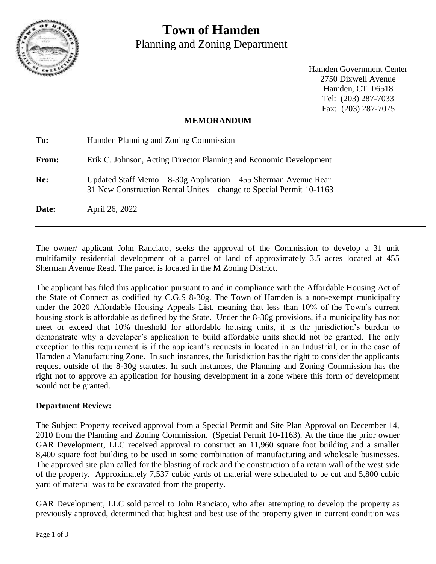# **Town of Hamden**



Planning and Zoning Department

Hamden Government Center 2750 Dixwell Avenue Hamden, CT 06518 Tel: (203) 287-7033 Fax: (203) 287-7075

#### **MEMORANDUM**

| To:   | Hamden Planning and Zoning Commission                                                                                                      |
|-------|--------------------------------------------------------------------------------------------------------------------------------------------|
| From: | Erik C. Johnson, Acting Director Planning and Economic Development                                                                         |
| Re:   | Updated Staff Memo $-8-30g$ Application $-455$ Sherman Avenue Rear<br>31 New Construction Rental Unites – change to Special Permit 10-1163 |
| Date: | April 26, 2022                                                                                                                             |

The owner/ applicant John Ranciato, seeks the approval of the Commission to develop a 31 unit multifamily residential development of a parcel of land of approximately 3.5 acres located at 455 Sherman Avenue Read. The parcel is located in the M Zoning District.

The applicant has filed this application pursuant to and in compliance with the Affordable Housing Act of the State of Connect as codified by C.G.S 8-30g. The Town of Hamden is a non-exempt municipality under the 2020 Affordable Housing Appeals List, meaning that less than 10% of the Town's current housing stock is affordable as defined by the State. Under the 8-30g provisions, if a municipality has not meet or exceed that 10% threshold for affordable housing units, it is the jurisdiction's burden to demonstrate why a developer's application to build affordable units should not be granted. The only exception to this requirement is if the applicant's requests in located in an Industrial, or in the case of Hamden a Manufacturing Zone. In such instances, the Jurisdiction has the right to consider the applicants request outside of the 8-30g statutes. In such instances, the Planning and Zoning Commission has the right not to approve an application for housing development in a zone where this form of development would not be granted.

### **Department Review:**

The Subject Property received approval from a Special Permit and Site Plan Approval on December 14, 2010 from the Planning and Zoning Commission. (Special Permit 10-1163). At the time the prior owner GAR Development, LLC received approval to construct an 11,960 square foot building and a smaller 8,400 square foot building to be used in some combination of manufacturing and wholesale businesses. The approved site plan called for the blasting of rock and the construction of a retain wall of the west side of the property. Approximately 7,537 cubic yards of material were scheduled to be cut and 5,800 cubic yard of material was to be excavated from the property.

GAR Development, LLC sold parcel to John Ranciato, who after attempting to develop the property as previously approved, determined that highest and best use of the property given in current condition was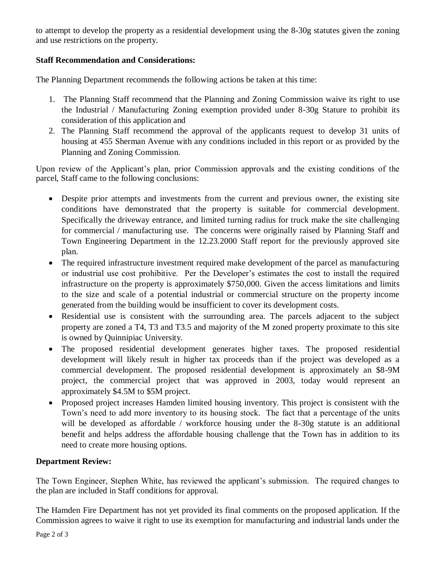to attempt to develop the property as a residential development using the 8-30g statutes given the zoning and use restrictions on the property.

## **Staff Recommendation and Considerations:**

The Planning Department recommends the following actions be taken at this time:

- 1. The Planning Staff recommend that the Planning and Zoning Commission waive its right to use the Industrial / Manufacturing Zoning exemption provided under 8-30g Stature to prohibit its consideration of this application and
- 2. The Planning Staff recommend the approval of the applicants request to develop 31 units of housing at 455 Sherman Avenue with any conditions included in this report or as provided by the Planning and Zoning Commission.

Upon review of the Applicant's plan, prior Commission approvals and the existing conditions of the parcel, Staff came to the following conclusions:

- Despite prior attempts and investments from the current and previous owner, the existing site conditions have demonstrated that the property is suitable for commercial development. Specifically the driveway entrance, and limited turning radius for truck make the site challenging for commercial / manufacturing use. The concerns were originally raised by Planning Staff and Town Engineering Department in the 12.23.2000 Staff report for the previously approved site plan.
- The required infrastructure investment required make development of the parcel as manufacturing or industrial use cost prohibitive. Per the Developer's estimates the cost to install the required infrastructure on the property is approximately \$750,000. Given the access limitations and limits to the size and scale of a potential industrial or commercial structure on the property income generated from the building would be insufficient to cover its development costs.
- Residential use is consistent with the surrounding area. The parcels adjacent to the subject property are zoned a T4, T3 and T3.5 and majority of the M zoned property proximate to this site is owned by Quinnipiac University.
- The proposed residential development generates higher taxes. The proposed residential development will likely result in higher tax proceeds than if the project was developed as a commercial development. The proposed residential development is approximately an \$8-9M project, the commercial project that was approved in 2003, today would represent an approximately \$4.5M to \$5M project.
- Proposed project increases Hamden limited housing inventory. This project is consistent with the Town's need to add more inventory to its housing stock. The fact that a percentage of the units will be developed as affordable / workforce housing under the 8-30g statute is an additional benefit and helps address the affordable housing challenge that the Town has in addition to its need to create more housing options.

### **Department Review:**

The Town Engineer, Stephen White, has reviewed the applicant's submission. The required changes to the plan are included in Staff conditions for approval.

The Hamden Fire Department has not yet provided its final comments on the proposed application. If the Commission agrees to waive it right to use its exemption for manufacturing and industrial lands under the